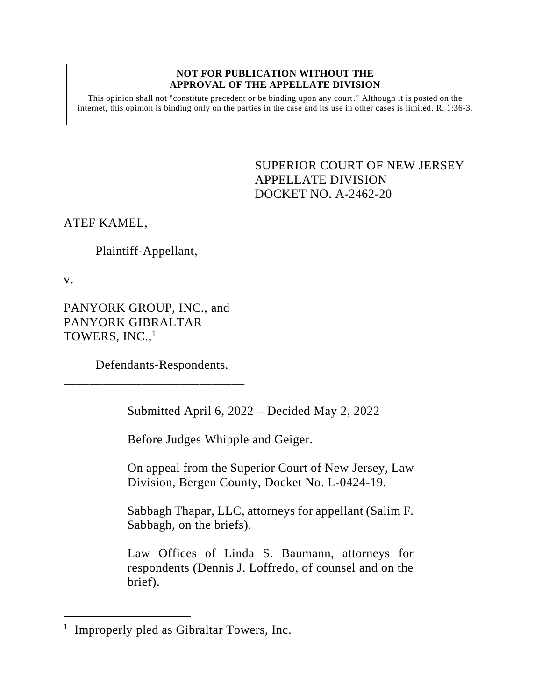## **NOT FOR PUBLICATION WITHOUT THE APPROVAL OF THE APPELLATE DIVISION**

This opinion shall not "constitute precedent or be binding upon any court." Although it is posted on the internet, this opinion is binding only on the parties in the case and its use in other cases is limited. R. 1:36-3.

> <span id="page-0-0"></span>SUPERIOR COURT OF NEW JERSEY APPELLATE DIVISION DOCKET NO. A-2462-20

ATEF KAMEL,

Plaintiff-Appellant,

v.

PANYORK GROUP, INC., and PANYORK GIBRALTAR TOWERS, INC., 1

Defendants-Respondents.

\_\_\_\_\_\_\_\_\_\_\_\_\_\_\_\_\_\_\_\_\_\_\_\_\_\_\_\_

Submitted April 6, 2022 – Decided May 2, 2022

Before Judges Whipple and Geiger.

On appeal from the Superior Court of New Jersey, Law Division, Bergen County, Docket No. L-0424-19.

Sabbagh Thapar, LLC, attorneys for appellant (Salim F. Sabbagh, on the briefs).

Law Offices of Linda S. Baumann, attorneys for respondents (Dennis J. Loffredo, of counsel and on the brief).

<sup>&</sup>lt;sup>1</sup> Improperly pled as Gibraltar Towers, Inc.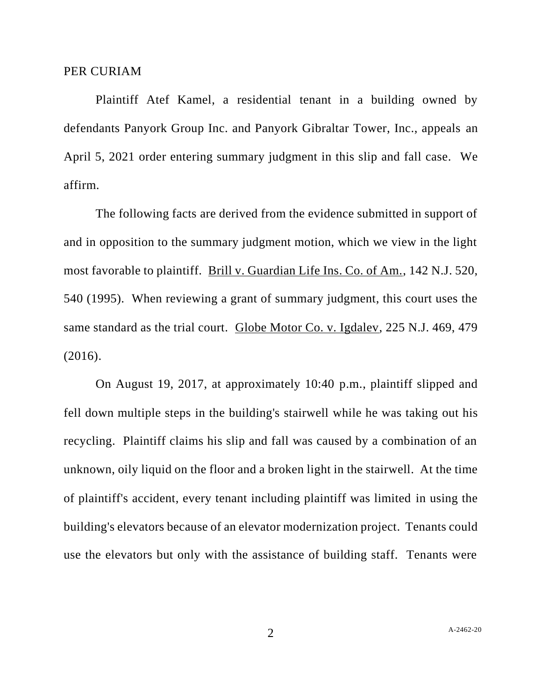Plaintiff Atef Kamel, a residential tenant in a building owned by defendants Panyork Group Inc. and Panyork Gibraltar Tower, Inc., appeals an April 5, 2021 order entering summary judgment in this slip and fall case. We affirm.

The following facts are derived from the evidence submitted in support of and in opposition to the summary judgment motion, which we view in the light most favorable to plaintiff. Brill v. Guardian Life Ins. Co. of Am., 142 N.J. 520, 540 (1995). When reviewing a grant of summary judgment, this court uses the same standard as the trial court. Globe Motor Co. v. Igdalev, 225 N.J. 469, 479 (2016).

On August 19, 2017, at approximately 10:40 p.m., plaintiff slipped and fell down multiple steps in the building's stairwell while he was taking out his recycling. Plaintiff claims his slip and fall was caused by a combination of an unknown, oily liquid on the floor and a broken light in the stairwell. At the time of plaintiff's accident, every tenant including plaintiff was limited in using the building's elevators because of an elevator modernization project. Tenants could use the elevators but only with the assistance of building staff. Tenants were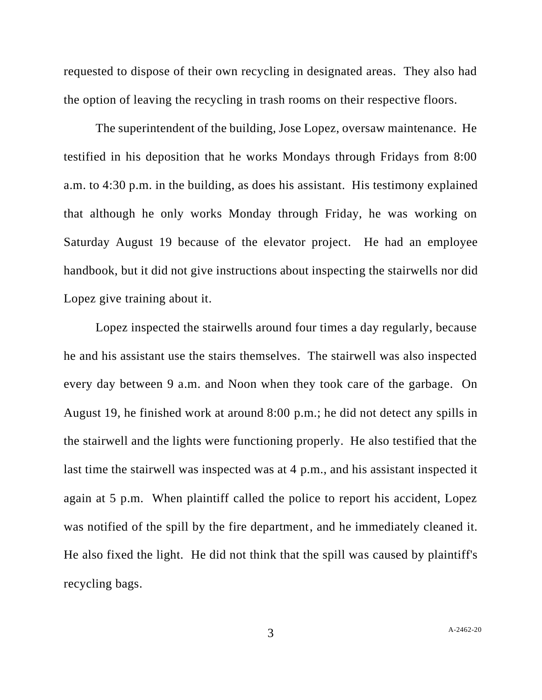requested to dispose of their own recycling in designated areas. They also had the option of leaving the recycling in trash rooms on their respective floors.

The superintendent of the building, Jose Lopez, oversaw maintenance. He testified in his deposition that he works Mondays through Fridays from 8:00 a.m. to 4:30 p.m. in the building, as does his assistant. His testimony explained that although he only works Monday through Friday, he was working on Saturday August 19 because of the elevator project. He had an employee handbook, but it did not give instructions about inspecting the stairwells nor did Lopez give training about it.

Lopez inspected the stairwells around four times a day regularly, because he and his assistant use the stairs themselves. The stairwell was also inspected every day between 9 a.m. and Noon when they took care of the garbage. On August 19, he finished work at around 8:00 p.m.; he did not detect any spills in the stairwell and the lights were functioning properly. He also testified that the last time the stairwell was inspected was at 4 p.m., and his assistant inspected it again at 5 p.m. When plaintiff called the police to report his accident, Lopez was notified of the spill by the fire department, and he immediately cleaned it. He also fixed the light. He did not think that the spill was caused by plaintiff's recycling bags.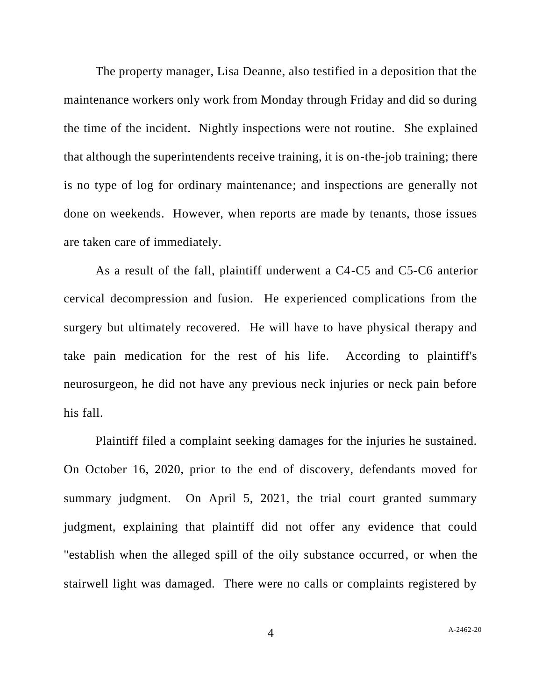The property manager, Lisa Deanne, also testified in a deposition that the maintenance workers only work from Monday through Friday and did so during the time of the incident. Nightly inspections were not routine. She explained that although the superintendents receive training, it is on-the-job training; there is no type of log for ordinary maintenance; and inspections are generally not done on weekends. However, when reports are made by tenants, those issues are taken care of immediately.

As a result of the fall, plaintiff underwent a C4-C5 and C5-C6 anterior cervical decompression and fusion. He experienced complications from the surgery but ultimately recovered. He will have to have physical therapy and take pain medication for the rest of his life. According to plaintiff's neurosurgeon, he did not have any previous neck injuries or neck pain before his fall.

Plaintiff filed a complaint seeking damages for the injuries he sustained. On October 16, 2020, prior to the end of discovery, defendants moved for summary judgment. On April 5, 2021, the trial court granted summary judgment, explaining that plaintiff did not offer any evidence that could "establish when the alleged spill of the oily substance occurred, or when the stairwell light was damaged. There were no calls or complaints registered by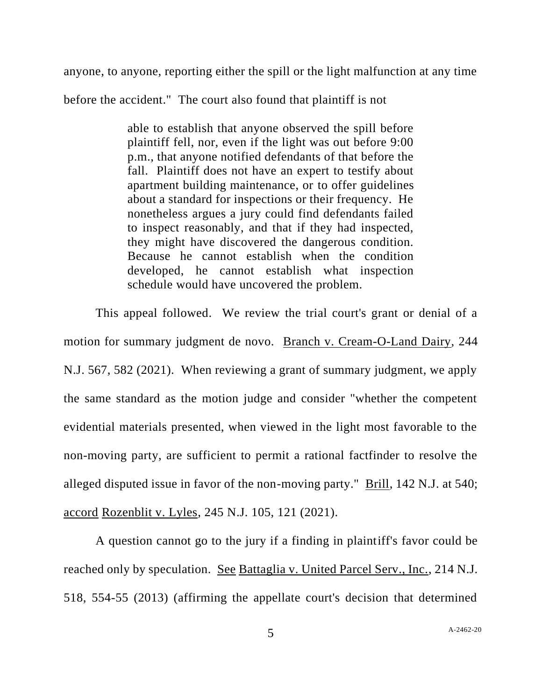anyone, to anyone, reporting either the spill or the light malfunction at any time

before the accident." The court also found that plaintiff is not

able to establish that anyone observed the spill before plaintiff fell, nor, even if the light was out before 9:00 p.m., that anyone notified defendants of that before the fall. Plaintiff does not have an expert to testify about apartment building maintenance, or to offer guidelines about a standard for inspections or their frequency. He nonetheless argues a jury could find defendants failed to inspect reasonably, and that if they had inspected, they might have discovered the dangerous condition. Because he cannot establish when the condition developed, he cannot establish what inspection schedule would have uncovered the problem.

This appeal followed. We review the trial court's grant or denial of a motion for summary judgment de novo. Branch v. Cream-O-Land Dairy, 244 N.J. 567, 582 (2021). When reviewing a grant of summary judgment, we apply the same standard as the motion judge and consider "whether the competent evidential materials presented, when viewed in the light most favorable to the non-moving party, are sufficient to permit a rational factfinder to resolve the alleged disputed issue in favor of the non-moving party." Brill, 142 N.J. at 540; accord Rozenblit v. Lyles, 245 N.J. 105, 121 (2021).

A question cannot go to the jury if a finding in plaintiff's favor could be reached only by speculation. See Battaglia v. United Parcel Serv., Inc., 214 N.J. 518, 554-55 (2013) (affirming the appellate court's decision that determined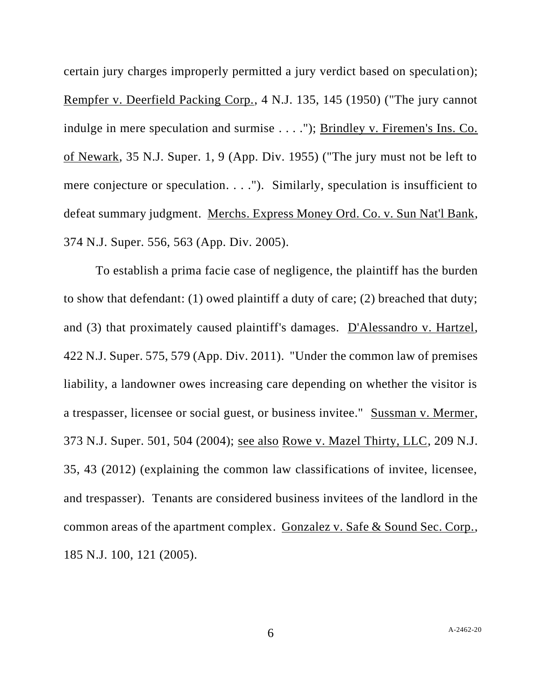certain jury charges improperly permitted a jury verdict based on speculation); Rempfer v. Deerfield Packing Corp., 4 N.J. 135, 145 (1950) ("The jury cannot indulge in mere speculation and surmise . . . ."); Brindley v. Firemen's Ins. Co. of Newark, 35 N.J. Super. 1, 9 (App. Div. 1955) ("The jury must not be left to mere conjecture or speculation. . . ."). Similarly, speculation is insufficient to defeat summary judgment. Merchs. Express Money Ord. Co. v. Sun Nat'l Bank, 374 N.J. Super. 556, 563 (App. Div. 2005).

To establish a prima facie case of negligence, the plaintiff has the burden to show that defendant: (1) owed plaintiff a duty of care; (2) breached that duty; and (3) that proximately caused plaintiff's damages. D'Alessandro v. Hartzel, 422 N.J. Super. 575, 579 (App. Div. 2011). "Under the common law of premises liability, a landowner owes increasing care depending on whether the visitor is a trespasser, licensee or social guest, or business invitee." Sussman v. Mermer, 373 N.J. Super. 501, 504 (2004); see also Rowe v. Mazel Thirty, LLC, 209 N.J. 35, 43 (2012) (explaining the common law classifications of invitee, licensee, and trespasser). Tenants are considered business invitees of the landlord in the common areas of the apartment complex. Gonzalez v. Safe & Sound Sec. Corp., 185 N.J. 100, 121 (2005).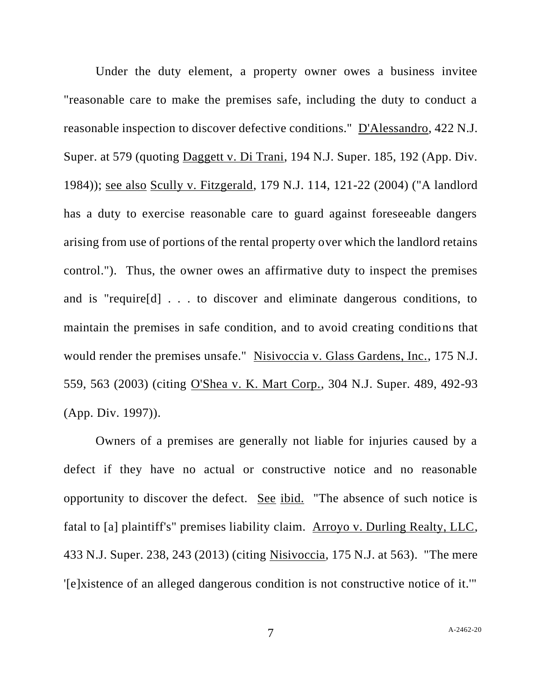Under the duty element, a property owner owes a business invitee "reasonable care to make the premises safe, including the duty to conduct a reasonable inspection to discover defective conditions." D'Alessandro, 422 N.J. Super. at 579 (quoting Daggett v. Di Trani, 194 N.J. Super. 185, 192 (App. Div. 1984)); see also Scully v. Fitzgerald, 179 N.J. 114, 121-22 (2004) ("A landlord has a duty to exercise reasonable care to guard against foreseeable dangers arising from use of portions of the rental property over which the landlord retains control."). Thus, the owner owes an affirmative duty to inspect the premises and is "require[d] . . . to discover and eliminate dangerous conditions, to maintain the premises in safe condition, and to avoid creating conditions that would render the premises unsafe." Nisivoccia v. Glass Gardens, Inc., 175 N.J. 559, 563 (2003) (citing O'Shea v. K. Mart Corp., 304 N.J. Super. 489, 492-93 (App. Div. 1997)).

Owners of a premises are generally not liable for injuries caused by a defect if they have no actual or constructive notice and no reasonable opportunity to discover the defect. See ibid. "The absence of such notice is fatal to [a] plaintiff's" premises liability claim. Arroyo v. Durling Realty, LLC, 433 N.J. Super. 238, 243 (2013) (citing Nisivoccia, 175 N.J. at 563). "The mere '[e]xistence of an alleged dangerous condition is not constructive notice of it.'"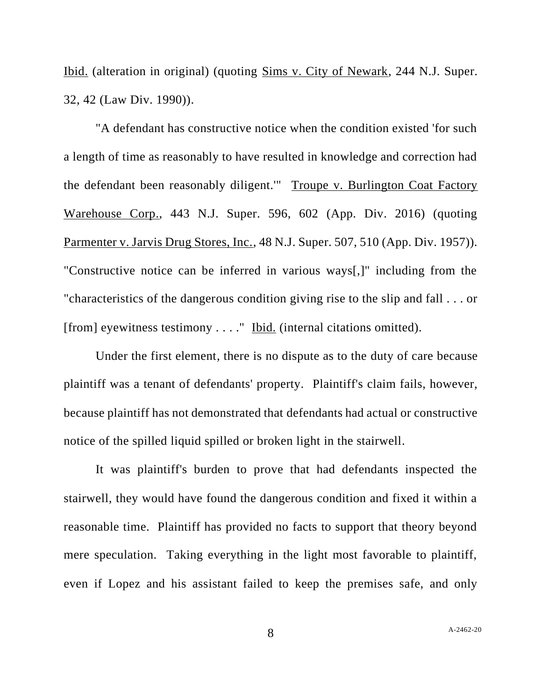Ibid. (alteration in original) (quoting Sims v. City of Newark, 244 N.J. Super. 32, 42 (Law Div. 1990)).

"A defendant has constructive notice when the condition existed 'for such a length of time as reasonably to have resulted in knowledge and correction had the defendant been reasonably diligent.'" Troupe v. Burlington Coat Factory Warehouse Corp., 443 N.J. Super. 596, 602 (App. Div. 2016) (quoting Parmenter v. Jarvis Drug Stores, Inc., 48 N.J. Super. 507, 510 (App. Div. 1957)). "Constructive notice can be inferred in various ways[,]" including from the "characteristics of the dangerous condition giving rise to the slip and fall . . . or [from] eyewitness testimony . . . ." Ibid. (internal citations omitted).

Under the first element, there is no dispute as to the duty of care because plaintiff was a tenant of defendants' property. Plaintiff's claim fails, however, because plaintiff has not demonstrated that defendants had actual or constructive notice of the spilled liquid spilled or broken light in the stairwell.

It was plaintiff's burden to prove that had defendants inspected the stairwell, they would have found the dangerous condition and fixed it within a reasonable time. Plaintiff has provided no facts to support that theory beyond mere speculation. Taking everything in the light most favorable to plaintiff, even if Lopez and his assistant failed to keep the premises safe, and only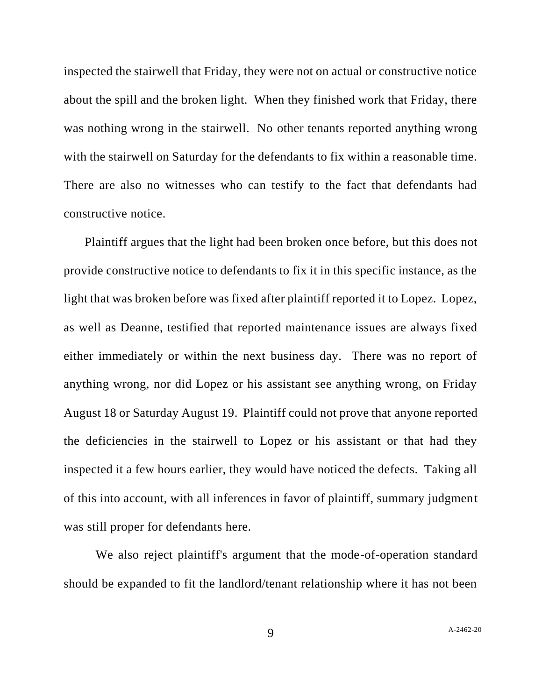inspected the stairwell that Friday, they were not on actual or constructive notice about the spill and the broken light. When they finished work that Friday, there was nothing wrong in the stairwell. No other tenants reported anything wrong with the stairwell on Saturday for the defendants to fix within a reasonable time. There are also no witnesses who can testify to the fact that defendants had constructive notice.

Plaintiff argues that the light had been broken once before, but this does not provide constructive notice to defendants to fix it in this specific instance, as the light that was broken before was fixed after plaintiff reported it to Lopez. Lopez, as well as Deanne, testified that reported maintenance issues are always fixed either immediately or within the next business day. There was no report of anything wrong, nor did Lopez or his assistant see anything wrong, on Friday August 18 or Saturday August 19. Plaintiff could not prove that anyone reported the deficiencies in the stairwell to Lopez or his assistant or that had they inspected it a few hours earlier, they would have noticed the defects. Taking all of this into account, with all inferences in favor of plaintiff, summary judgment was still proper for defendants here.

We also reject plaintiff's argument that the mode-of-operation standard should be expanded to fit the landlord/tenant relationship where it has not been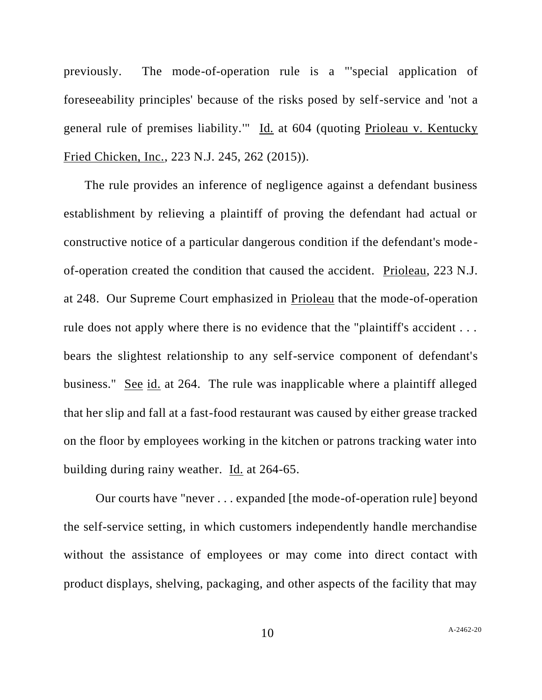previously. The mode-of-operation rule is a "'special application of foreseeability principles' because of the risks posed by self-service and 'not a general rule of premises liability.'" Id. at 604 (quoting Prioleau v. Kentucky Fried Chicken, Inc., 223 N.J. 245, 262 (2015)).

The rule provides an inference of negligence against a defendant business establishment by relieving a plaintiff of proving the defendant had actual or constructive notice of a particular dangerous condition if the defendant's mode of-operation created the condition that caused the accident. Prioleau, 223 N.J. at 248. Our Supreme Court emphasized in Prioleau that the mode-of-operation rule does not apply where there is no evidence that the "plaintiff's accident ... bears the slightest relationship to any self-service component of defendant's business." See id. at 264. The rule was inapplicable where a plaintiff alleged that her slip and fall at a fast-food restaurant was caused by either grease tracked on the floor by employees working in the kitchen or patrons tracking water into building during rainy weather. Id. at 264-65.

Our courts have "never . . . expanded [the mode-of-operation rule] beyond the self-service setting, in which customers independently handle merchandise without the assistance of employees or may come into direct contact with product displays, shelving, packaging, and other aspects of the facility that may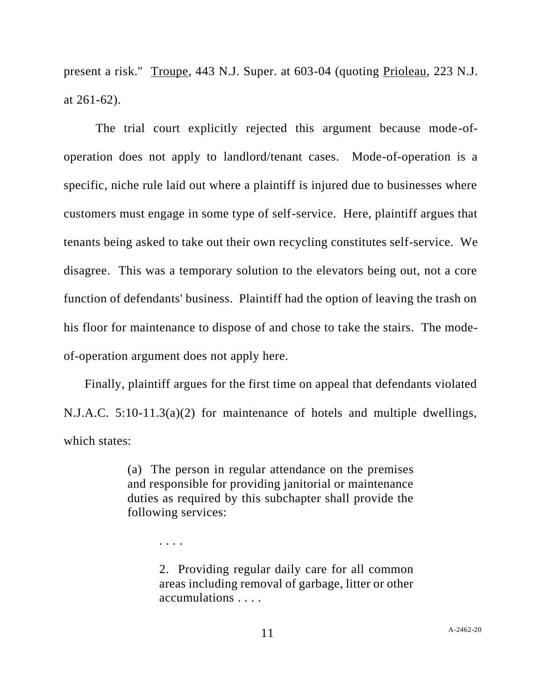present a risk." Troupe, 443 N.J. Super. at 603-04 (quoting Prioleau, 223 N.J. at 261-62).

The trial court explicitly rejected this argument because mode-ofoperation does not apply to landlord/tenant cases. Mode-of-operation is a specific, niche rule laid out where a plaintiff is injured due to businesses where customers must engage in some type of self-service. Here, plaintiff argues that tenants being asked to take out their own recycling constitutes self-service. We disagree. This was a temporary solution to the elevators being out, not a core function of defendants' business. Plaintiff had the option of leaving the trash on his floor for maintenance to dispose of and chose to take the stairs. The modeof-operation argument does not apply here.

Finally, plaintiff argues for the first time on appeal that defendants violated N.J.A.C. 5:10-11.3(a)(2) for maintenance of hotels and multiple dwellings, which states:

> (a) The person in regular attendance on the premises and responsible for providing janitorial or maintenance duties as required by this subchapter shall provide the following services:

> > . . . .

2. Providing regular daily care for all common areas including removal of garbage, litter or other accumulations . . . .